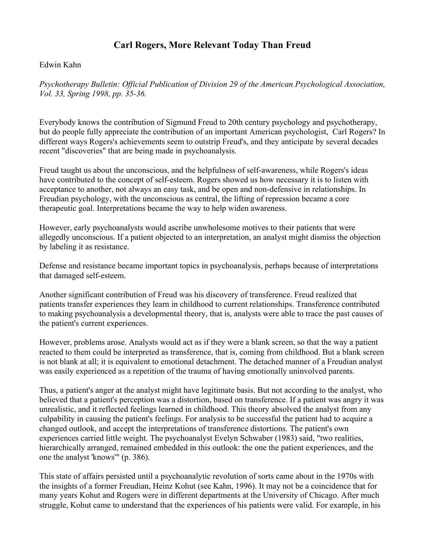## Carl Rogers, More Relevant Today Than Freud

## Edwin Kahn

*Psychotherapy Bulletin: Official Publication of Division 29 of the American Psychological Association, Vol. 33, Spring 1998, pp. 35-36.*

Everybody knows the contribution of Sigmund Freud to 20th century psychology and psychotherapy, but do people fully appreciate the contribution of an important American psychologist, Carl Rogers? In different ways Rogers's achievements seem to outstrip Freud's, and they anticipate by several decades recent "discoveries" that are being made in psychoanalysis.

Freud taught us about the unconscious, and the helpfulness of self-awareness, while Rogers's ideas have contributed to the concept of self-esteem. Rogers showed us how necessary it is to listen with acceptance to another, not always an easy task, and be open and non-defensive in relationships. In Freudian psychology, with the unconscious as central, the lifting of repression became a core therapeutic goal. Interpretations became the way to help widen awareness.

However, early psychoanalysts would ascribe unwholesome motives to their patients that were allegedly unconscious. If a patient objected to an interpretation, an analyst might dismiss the objection by labeling it as resistance.

Defense and resistance became important topics in psychoanalysis, perhaps because of interpretations that damaged self-esteem.

Another significant contribution of Freud was his discovery of transference. Freud realized that patients transfer experiences they learn in childhood to current relationships. Transference contributed to making psychoanalysis a developmental theory, that is, analysts were able to trace the past causes of the patient's current experiences.

However, problems arose. Analysts would act as if they were a blank screen, so that the way a patient reacted to them could be interpreted as transference, that is, coming from childhood. But a blank screen is not blank at all; it is equivalent to emotional detachment. The detached manner of a Freudian analyst was easily experienced as a repetition of the trauma of having emotionally uninvolved parents.

Thus, a patient's anger at the analyst might have legitimate basis. But not according to the analyst, who believed that a patient's perception was a distortion, based on transference. If a patient was angry it was unrealistic, and it reflected feelings learned in childhood. This theory absolved the analyst from any culpability in causing the patient's feelings. For analysis to be successful the patient had to acquire a changed outlook, and accept the interpretations of transference distortions. The patient's own experiences carried little weight. The psychoanalyst Evelyn Schwaber (1983) said, "two realities, hierarchically arranged, remained embedded in this outlook: the one the patient experiences, and the one the analyst 'knows'" (p. 386).

This state of affairs persisted until a psychoanalytic revolution of sorts came about in the 1970s with the insights of a former Freudian, Heinz Kohut (see Kahn, 1996). It may not be a coincidence that for many years Kohut and Rogers were in different departments at the University of Chicago. After much struggle, Kohut came to understand that the experiences of his patients were valid. For example, in his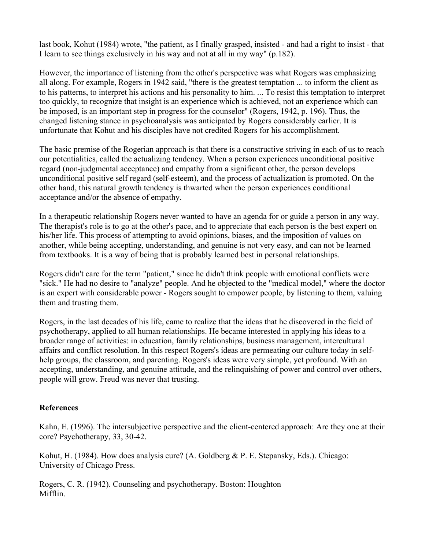last book, Kohut (1984) wrote, "the patient, as I finally grasped, insisted - and had a right to insist - that I learn to see things exclusively in his way and not at all in my way" (p.182).

However, the importance of listening from the other's perspective was what Rogers was emphasizing all along. For example, Rogers in 1942 said, "there is the greatest temptation ... to inform the client as to his patterns, to interpret his actions and his personality to him. ... To resist this temptation to interpret too quickly, to recognize that insight is an experience which is achieved, not an experience which can be imposed, is an important step in progress for the counselor" (Rogers, 1942, p. 196). Thus, the changed listening stance in psychoanalysis was anticipated by Rogers considerably earlier. It is unfortunate that Kohut and his disciples have not credited Rogers for his accomplishment.

The basic premise of the Rogerian approach is that there is a constructive striving in each of us to reach our potentialities, called the actualizing tendency. When a person experiences unconditional positive regard (non-judgmental acceptance) and empathy from a significant other, the person develops unconditional positive self regard (self-esteem), and the process of actualization is promoted. On the other hand, this natural growth tendency is thwarted when the person experiences conditional acceptance and/or the absence of empathy.

In a therapeutic relationship Rogers never wanted to have an agenda for or guide a person in any way. The therapist's role is to go at the other's pace, and to appreciate that each person is the best expert on his/her life. This process of attempting to avoid opinions, biases, and the imposition of values on another, while being accepting, understanding, and genuine is not very easy, and can not be learned from textbooks. It is a way of being that is probably learned best in personal relationships.

Rogers didn't care for the term "patient," since he didn't think people with emotional conflicts were "sick." He had no desire to "analyze" people. And he objected to the "medical model," where the doctor is an expert with considerable power - Rogers sought to empower people, by listening to them, valuing them and trusting them.

Rogers, in the last decades of his life, came to realize that the ideas that he discovered in the field of psychotherapy, applied to all human relationships. He became interested in applying his ideas to a broader range of activities: in education, family relationships, business management, intercultural affairs and conflict resolution. In this respect Rogers's ideas are permeating our culture today in selfhelp groups, the classroom, and parenting. Rogers's ideas were very simple, yet profound. With an accepting, understanding, and genuine attitude, and the relinquishing of power and control over others, people will grow. Freud was never that trusting.

## **References**

Kahn, E. (1996). The intersubjective perspective and the client-centered approach: Are they one at their core? Psychotherapy, 33, 30-42.

Kohut, H. (1984). How does analysis cure? (A. Goldberg & P. E. Stepansky, Eds.). Chicago: University of Chicago Press.

Rogers, C. R. (1942). Counseling and psychotherapy. Boston: Houghton Mifflin.